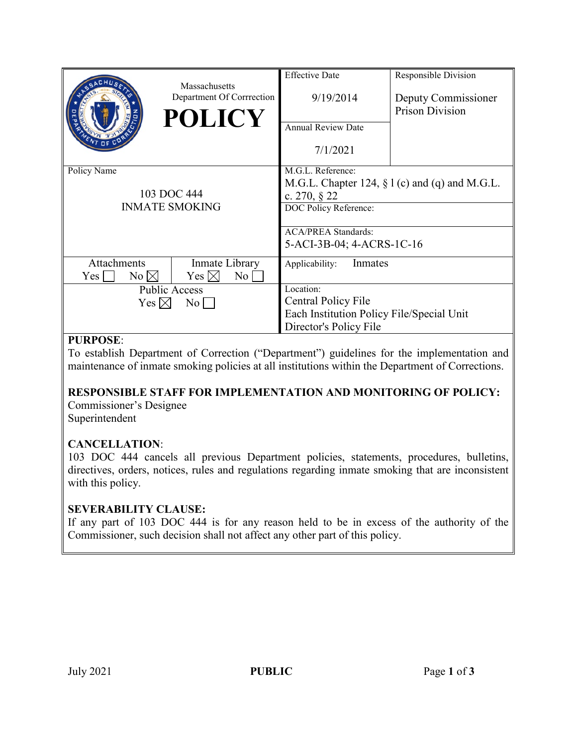|                                     | Massachusetts             | <b>Effective Date</b>                             | Responsible Division |
|-------------------------------------|---------------------------|---------------------------------------------------|----------------------|
|                                     | Department Of Corrrection | 9/19/2014                                         | Deputy Commissioner  |
|                                     | <b>POLICY</b>             |                                                   | Prison Division      |
|                                     |                           | <b>Annual Review Date</b>                         |                      |
|                                     |                           | 7/1/2021                                          |                      |
| Policy Name                         |                           | M.G.L. Reference:                                 |                      |
|                                     |                           | M.G.L. Chapter 124, $\S$ 1 (c) and (q) and M.G.L. |                      |
| 103 DOC 444                         |                           | c. $270, \S 22$                                   |                      |
| <b>INMATE SMOKING</b>               |                           | DOC Policy Reference:                             |                      |
|                                     |                           |                                                   |                      |
|                                     |                           | <b>ACA/PREA Standards:</b>                        |                      |
|                                     |                           | 5-ACI-3B-04; 4-ACRS-1C-16                         |                      |
| <b>Attachments</b>                  | Inmate Library            | Inmates<br>Applicability:                         |                      |
| $No \bowtie$<br>Yes                 | Yes $\boxtimes$<br>No     |                                                   |                      |
| <b>Public Access</b>                |                           | Location:                                         |                      |
| Yes $\boxtimes$<br>$\overline{N_0}$ |                           | Central Policy File                               |                      |
|                                     |                           | Each Institution Policy File/Special Unit         |                      |
|                                     |                           | Director's Policy File                            |                      |

## **PURPOSE**:

To establish Department of Correction ("Department") guidelines for the implementation and maintenance of inmate smoking policies at all institutions within the Department of Corrections.

#### **RESPONSIBLE STAFF FOR IMPLEMENTATION AND MONITORING OF POLICY:**

Commissioner's Designee Superintendent

#### **CANCELLATION**:

103 DOC 444 cancels all previous Department policies, statements, procedures, bulletins, directives, orders, notices, rules and regulations regarding inmate smoking that are inconsistent with this policy.

#### **SEVERABILITY CLAUSE:**

If any part of 103 DOC 444 is for any reason held to be in excess of the authority of the Commissioner, such decision shall not affect any other part of this policy.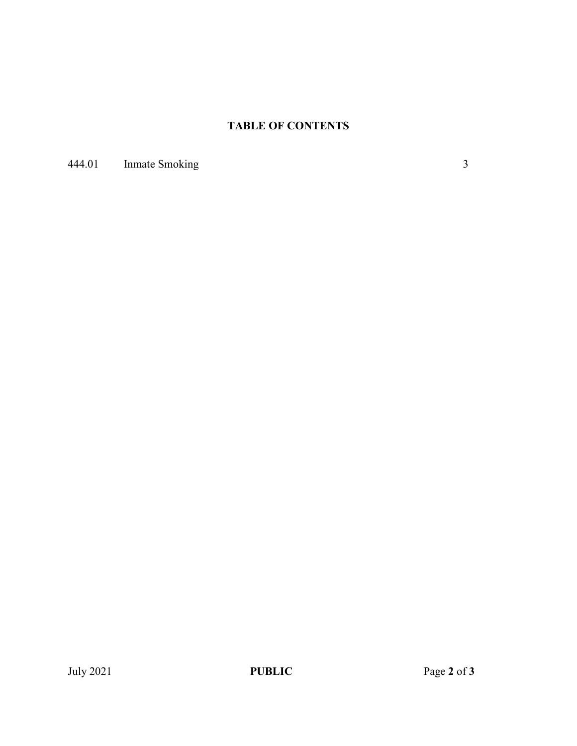# **TABLE OF CONTENTS**

444.01 Inmate Smoking 3